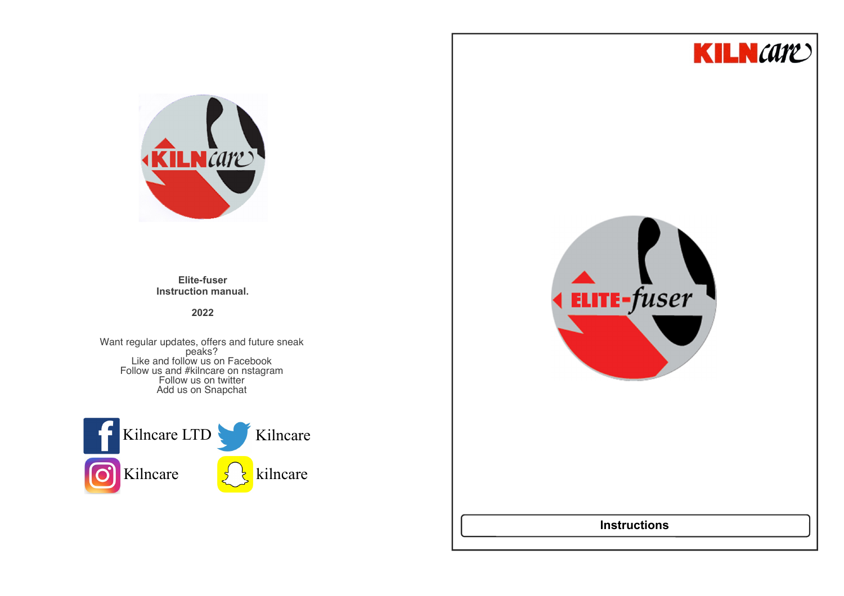



**Elite-fuser Instruction manual.**

## **2022**

Want regular updates, offers and future sneak<br>
peaks?<br>
Like and follow us on Facebook<br>
Follow us and #kilncare on nstagram<br>
Follow us on twitter Add us on Snapchat





# **Instructions**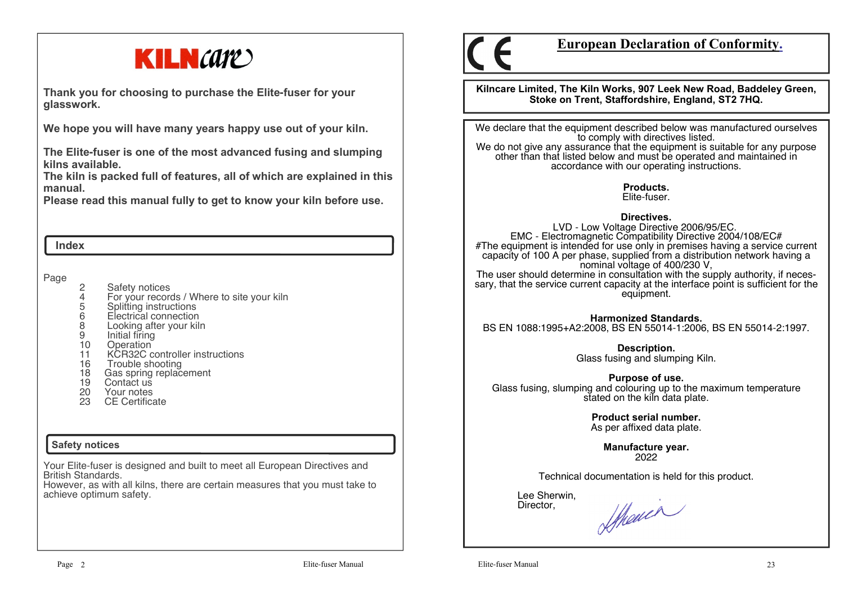

**Thank you for choosing to purchase the Elite-fuser for your glasswork.**

**We hope you will have many years happy use out of your kiln.** 

**The Elite-fuser is one of the most advanced fusing and slumping kilns available.** 

 **The kiln is packed full of features, all of which are explained in this manual.**

**Please read this manual fully to get to know your kiln before use.**

#### **Index**

Page

- 
- 2 Safety notices<br>4 For your record 4 For your records / Where to site your kiln
- 5 Splitting instructions
- 6 Electrical connection
- 8 Looking after your kiln
- 9 Initial firing<br>10 Operation
- 
- 10 Operation<br>11 KCR32C c 11 KCR32C controller instructions
- 16 Trouble shooting
- 18 Gas spring replacement<br>19 Contact us
- Contact us
- 20 Your notes
- 23 CE Certificate

## **Safety notices**

Your Elite-fuser is designed and built to meet all European Directives and British Standards.

 However, as with all kilns, there are certain measures that you must take to achieve optimum safety.



# **European Declaration of Conformity.**

**Kilncare Limited, The Kiln Works, 907 Leek New Road, Baddeley Green, Stoke on Trent, Staffordshire, England, ST2 7HQ.**

We declare that the equipment described below was manufactured ourselves to comply with directives listed. We do not give any assurance that the equipment is suitable for any purpose other than that listed below and must be operated and maintained in

> **Products.**Elite-fuser.

accordance with our operating instructions.

## **Directives.**

 LVD - Low Voltage Directive 2006/95/EC. EMC - Electromagnetic Compatibility Directive 2004/108/EC# #The equipment is intended for use only in premises having a service current capacity of 100 A per phase, supplied from a distribution network having a nominal voltage of 400/230 V, The user should determine in consultation with the supply authority, if necessary, that the service current capacity at the interface point is sufficient for the equipment.

**Harmonized Standards.**BS EN 1088:1995+A2:2008, BS EN 55014-1:2006, BS EN 55014-2:1997.

**Description.** 

Glass fusing and slumping Kiln.

**Purpose of use.**

 Glass fusing, slumping and colouring up to the maximum temperature stated on the kiln data plate.

> **Product serial number.**As per affixed data plate.

> > **Manufacture year.**2022

Technical documentation is held for this product.

 Lee Sherwin,Director,

Showin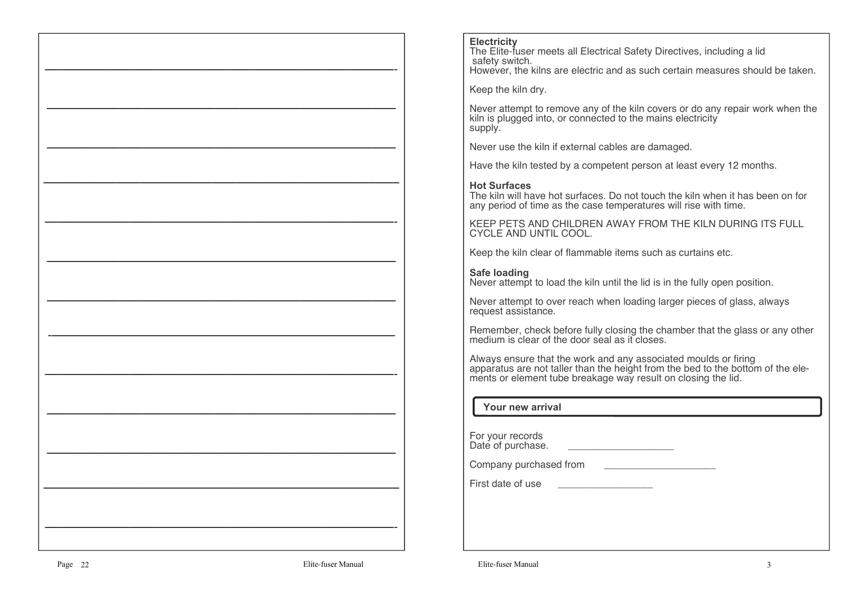#### **Electricity**

 The Elite-fuser meets all Electrical Safety Directives, including a lidsafety switch.

However, the kilns are electric and as such certain measures should be taken.

Keep the kiln dry.

Never attempt to remove any of the kiln covers or do any repair work when the kiln is plugged into, or connected to the mains electricity supply.

Never use the kiln if external cables are damaged.

Have the kiln tested by a competent person at least every 12 months.

## **Hot Surfaces**

 The kiln will have hot surfaces. Do not touch the kiln when it has been on for any period of time as the case temperatures will rise with time.

KEEP PETS AND CHILDREN AWAY FROM THE KILN DURING ITS FULL CYCLE AND UNTIL COOL.

Keep the kiln clear of flammable items such as curtains etc.

## **Safe loading**

Never attempt to load the kiln until the lid is in the fully open position.

Never attempt to over reach when loading larger pieces of glass, always request assistance.

Remember, check before fully closing the chamber that the glass or any other medium is clear of the door seal as it closes.

Always ensure that the work and any associated moulds or firing apparatus are not taller than the height from the bed to the bottom of the elements or element tube breakage way result on closing the lid.

## **Your new arrival**

For your recordsDate of purchase. \_\_\_\_\_\_\_\_\_\_\_\_\_\_\_\_\_\_\_\_\_\_\_

Company purchased from **Example 20** 

First date of use

—————————————————————————————-

—————————————————————————————

—————————————————————————————

—————————————————————————————–

—————————————————————————————-

—————————————————————————————

—————————————————————————————

-denote the set of the set of the set of the set of the set of the set of the set of the set of the set of the set of the set of the set of the set of the set of the set of the set of the set of the set of the set of the

—————————————————————————————-

—————————————————————————————

—————————————————————————————

—————————————————————————————–

—————————————————————————————-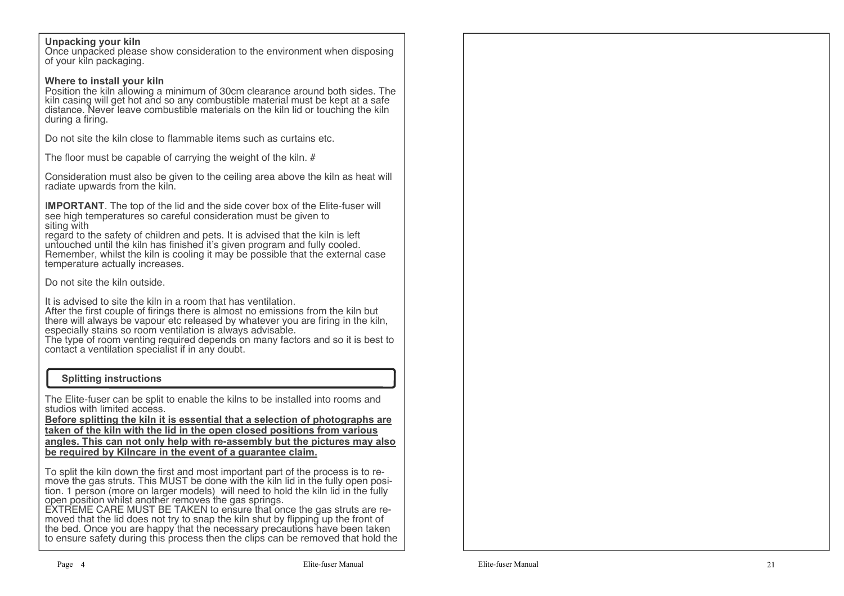## **Unpacking your kiln**

 Once unpacked please show consideration to the environment when disposing of your kiln packaging.

### **Where to install your kiln**

 Position the kiln allowing a minimum of 30cm clearance around both sides. The kiln casing will get hot and so any combustible material must be kept at a safe distance. Never leave combustible materials on the kiln lid or touching the kiln during a firing.

Do not site the kiln close to flammable items such as curtains etc.

The floor must be capable of carrying the weight of the kiln. #

Consideration must also be given to the ceiling area above the kiln as heat will radiate upwards from the kiln.

I**MPORTANT**. The top of the lid and the side cover box of the Elite-fuser will see high temperatures so careful consideration must be given to siting with

 regard to the safety of children and pets. It is advised that the kiln is left untouched until the kiln has finished it's given program and fully cooled. Remember, whilst the kiln is cooling it may be possible that the external case temperature actually increases.

Do not site the kiln outside.

It is advised to site the kiln in a room that has ventilation. After the first couple of firings there is almost no emissions from the kiln but there will always be vapour etc released by whatever you are firing in the kiln, especially stains so room ventilation is always advisable.

 The type of room venting required depends on many factors and so it is best to contact a ventilation specialist if in any doubt.

### **Splitting instructions**

The Elite-fuser can be split to enable the kilns to be installed into rooms and studios with limited access.

 **Before splitting the kiln it is essential that a selection of photographs are taken of the kiln with the lid in the open closed positions from various angles. This can not only help with re-assembly but the pictures may also be required by Kilncare in the event of a guarantee claim.**

To split the kiln down the first and most important part of the process is to remove the gas struts. This MUST be done with the kiln lid in the fully open position. 1 person (more on larger models) will need to hold the kiln lid in the fully open position whilst another removes the gas springs.

EXTREME CARE MUST BE TAKEN to ensure that once the gas struts are re-<br>moved that the lid does not try to snap the kiln shut by flipping up the front of the bed. Once you are happy that the necessary precautions have been taken to ensure safety during this process then the clips can be removed that hold the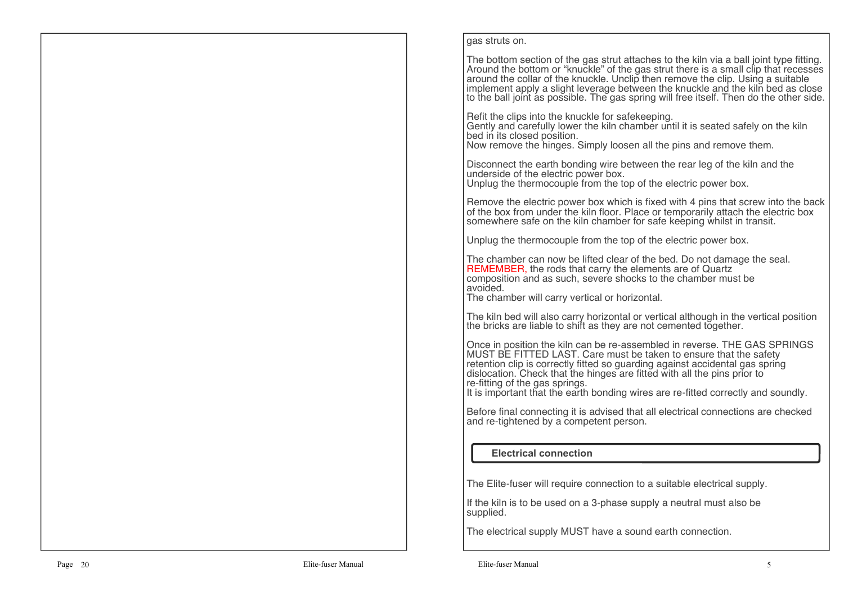#### gas struts on.

The bottom section of the gas strut attaches to the kiln via a ball joint type fitting. Around the bottom or "knuckle" of the gas strut there is a small clip that recesses around the collar of the knuckle. Unclip then remove the clip. Using a suitable implement apply a slight leverage between the knuckle and the kiln bed as close to the ball joint as possible. The gas spring will free itself. Then do the other side.

Refit the clips into the knuckle for safekeeping. Gently and carefully lower the kiln chamber until it is seated safely on the kiln bed in its closed position.

Now remove the hinges. Simply loosen all the pins and remove them.

Disconnect the earth bonding wire between the rear leg of the kiln and the underside of the electric power box.Unplug the thermocouple from the top of the electric power box.

Remove the electric power box which is fixed with 4 pins that screw into the back of the box from under the kiln floor. Place or temporarily attach the electric box somewhere safe on the kiln chamber for safe keeping whilst in transit.

Unplug the thermocouple from the top of the electric power box.

The chamber can now be lifted clear of the bed. Do not damage the seal.REMEMBER, the rods that carry the elements are of Quartz composition and as such, severe shocks to the chamber must be avoided.

The chamber will carry vertical or horizontal.

The kiln bed will also carry horizontal or vertical although in the vertical position the bricks are liable to shift as they are not cemented together.

Once in position the kiln can be re-assembled in reverse. THE GAS SPRINGS MUST BE FITTED LAST. Care must be taken to ensure that the safety retention clip is correctly fitted so quarding against accidental gas spring retention clip is correctly fitted so guarding against accidental gas spring dislocation. Check that the hinges are fitted with all the pins prior to re-fitting of the gas springs.

It is important that the earth bonding wires are re-fitted correctly and soundly.

Before final connecting it is advised that all electrical connections are checked and re-tightened by a competent person.

## **Electrical connection**

The Elite-fuser will require connection to a suitable electrical supply.

If the kiln is to be used on a 3-phase supply a neutral must also be supplied.

The electrical supply MUST have a sound earth connection.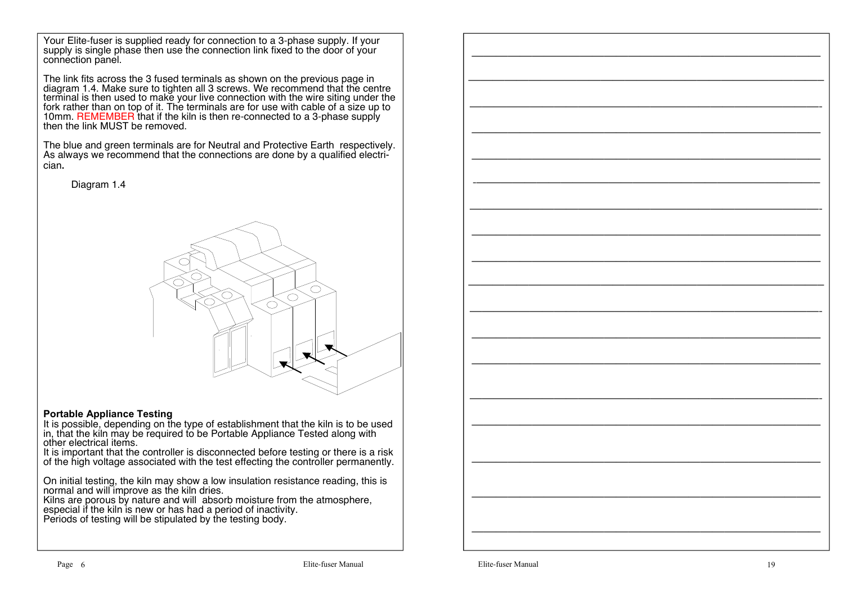Your Elite-fuser is supplied ready for connection to a 3-phase supply. If your supply is single phase then use the connection link fixed to the door of your connection panel.

The link fits across the 3 fused terminals as shown on the previous page in diagram 1.4. Make sure to tighten all 3 screws. We recommend that the centre terminal is then used to make your live connection with the wire siting under the fork rather than on top of it. The terminals are for use with cable of a size up to 10mm. REMEMBER that if the kiln is then re-connected to a 3-phase supply then the link MUST be removed.

The blue and green terminals are for Neutral and Protective Earth respectively. As always we recommend that the connections are done by a qualified electrician**.**

Diagram 1.4



#### **Portable Appliance Testing**

 It is possible, depending on the type of establishment that the kiln is to be used in, that the kiln may be required to be Portable Appliance Tested along with other electrical items.

 It is important that the controller is disconnected before testing or there is a risk of the high voltage associated with the test effecting the controller permanently.

On initial testing, the kiln may show a low insulation resistance reading, this is normal and will improve as the kiln dries.

 Kilns are porous by nature and will absorb moisture from the atmosphere, especial if the kiln is new or has had a period of inactivity.Periods of testing will be stipulated by the testing body.

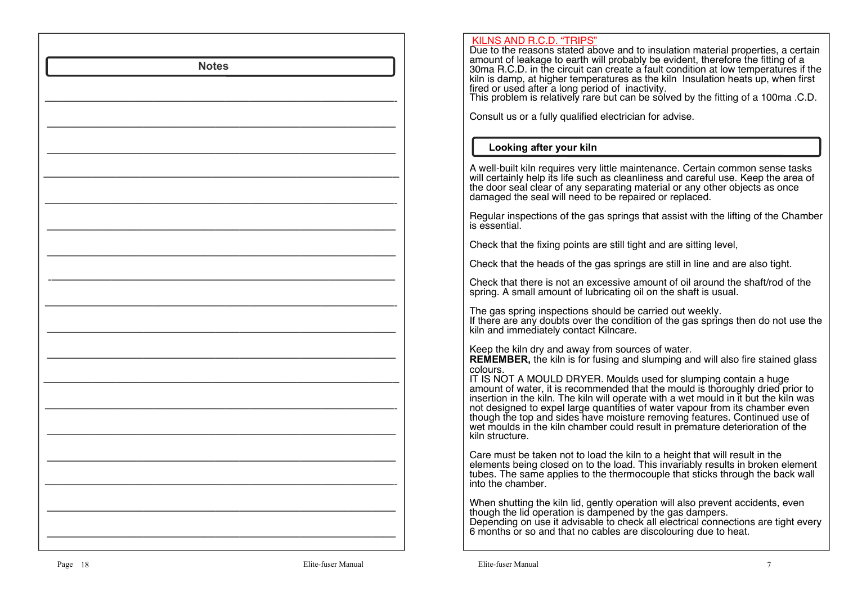| <b>Notes</b> | KILNS AND R.C.D. "TRIPS"<br>Due to the reasons stated above and to insulation material properties, a certain<br>amount of leakage to earth will probably be evident, therefore the fitting of a<br>30ma R.C.D. in the circuit can create a fault condition at low temperatures if the<br>kiln is damp, at higher temperatures as the kiln Insulation heats up, when first<br>fired or used after a long period of inactivity.<br>This problem is relatively rare but can be solved by the fitting of a 100ma .C.D.<br>Consult us or a fully qualified electrician for advise.                                                                           |
|--------------|---------------------------------------------------------------------------------------------------------------------------------------------------------------------------------------------------------------------------------------------------------------------------------------------------------------------------------------------------------------------------------------------------------------------------------------------------------------------------------------------------------------------------------------------------------------------------------------------------------------------------------------------------------|
|              | Looking after your kiln                                                                                                                                                                                                                                                                                                                                                                                                                                                                                                                                                                                                                                 |
|              | A well-built kiln requires very little maintenance. Certain common sense tasks<br>will certainly help its life such as cleanliness and careful use. Keep the area of<br>the door seal clear of any separating material or any other objects as once damaged the seal will need to be repaired or replaced.                                                                                                                                                                                                                                                                                                                                              |
|              | Regular inspections of the gas springs that assist with the lifting of the Chamber<br>is essential.                                                                                                                                                                                                                                                                                                                                                                                                                                                                                                                                                     |
|              | Check that the fixing points are still tight and are sitting level,                                                                                                                                                                                                                                                                                                                                                                                                                                                                                                                                                                                     |
|              | Check that the heads of the gas springs are still in line and are also tight.                                                                                                                                                                                                                                                                                                                                                                                                                                                                                                                                                                           |
|              | Check that there is not an excessive amount of oil around the shaft/rod of the<br>spring. A small amount of lubricating oil on the shaft is usual.                                                                                                                                                                                                                                                                                                                                                                                                                                                                                                      |
|              | The gas spring inspections should be carried out weekly.<br>If there are any doubts over the condition of the gas springs then do not use the<br>kiln and immediately contact Kilncare.                                                                                                                                                                                                                                                                                                                                                                                                                                                                 |
|              | Keep the kiln dry and away from sources of water.<br><b>REMEMBER, the kiln is for fusing and slumping and will also fire stained glass</b><br>colours.<br>IT IS NOT A MOULD DRYER. Moulds used for slumping contain a huge amount of water, it is recommended that the mould is thoroughly dried prior to insertion in the kiln. The kiln will operate with a wet mould in it but the ki<br>not designed to expel large quantities of water vapour from its chamber even though the top and sides have moisture removing features. Continued use of<br>wet moulds in the kiln chamber could result in premature deterioration of the<br>kiln structure. |
|              | Care must be taken not to load the kiln to a height that will result in the<br>elements being closed on to the load. This invariably results in broken element<br>tubes. The same applies to the thermocouple that sticks through the back wall<br>into the chamber.                                                                                                                                                                                                                                                                                                                                                                                    |
|              | When shutting the kiln lid, gently operation will also prevent accidents, even though the lid operation is dampened by the gas dampers.<br>Depending on use it advisable to check all electrical connections are tight every<br>6 months or so and that no cables are discolouring due to heat.                                                                                                                                                                                                                                                                                                                                                         |
|              |                                                                                                                                                                                                                                                                                                                                                                                                                                                                                                                                                                                                                                                         |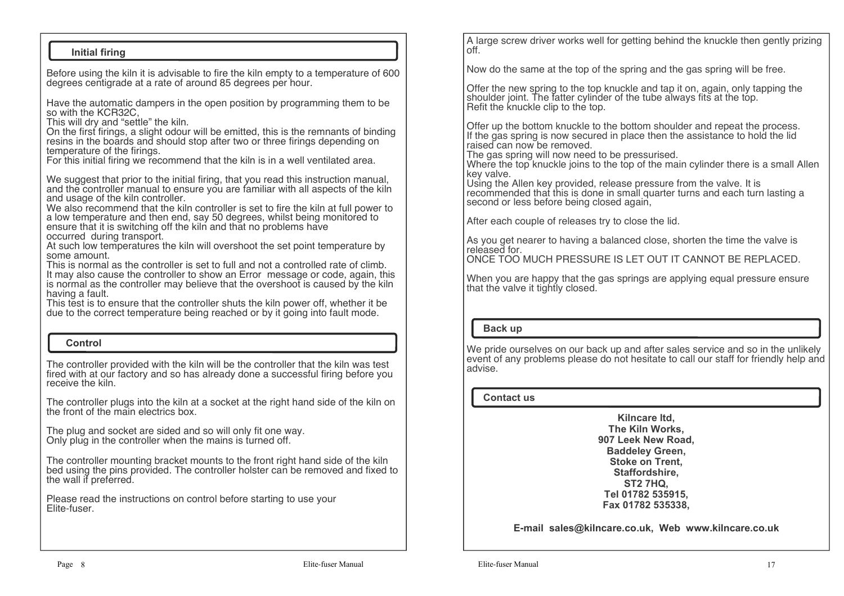## **Initial firing**

Before using the kiln it is advisable to fire the kiln empty to a temperature of 600 degrees centigrade at a rate of around 85 degrees per hour.

Have the automatic dampers in the open position by programming them to be so with the KCR32C

This will dry and "settle" the kiln.

 On the first firings, a slight odour will be emitted, this is the remnants of binding resins in the boards and should stop after two or three firings depending on temperature of the firings.

For this initial firing we recommend that the kiln is in a well ventilated area.

We suggest that prior to the initial firing, that you read this instruction manual. and the controller manual to ensure you are familiar with all aspects of the kiln and usage of the kiln controller.

 We also recommend that the kiln controller is set to fire the kiln at full power to a low temperature and then end, say 50 degrees, whilst being monitored to ensure that it is switching off the kiln and that no problems have occurred during transport.

 At such low temperatures the kiln will overshoot the set point temperature by some amount.

 This is normal as the controller is set to full and not a controlled rate of climb. It may also cause the controller to show an Error message or code, again, this is normal as the controller may believe that the overshoot is caused by the kiln having a fault.

 This test is to ensure that the controller shuts the kiln power off, whether it be due to the correct temperature being reached or by it going into fault mode.

#### **Control**

The controller provided with the kiln will be the controller that the kiln was test fired with at our factory and so has already done a successful firing before you receive the kiln.

The controller plugs into the kiln at a socket at the right hand side of the kiln on the front of the main electrics box.

The plug and socket are sided and so will only fit one way. Only plug in the controller when the mains is turned off.

The controller mounting bracket mounts to the front right hand side of the kiln bed using the pins provided. The controller holster can be removed and fixed to the wall if preferred.

Please read the instructions on control before starting to use your Elite-fuser.

A large screw driver works well for getting behind the knuckle then gently prizing off.

Now do the same at the top of the spring and the gas spring will be free.

Offer the new spring to the top knuckle and tap it on, again, only tapping the shoulder joint. The fatter cylinder of the tube always fits at the top. Refit the knuckle clip to the top.

Offer up the bottom knuckle to the bottom shoulder and repeat the process. If the gas spring is now secured in place then the assistance to hold the lid raised can now be removed.

The gas spring will now need to be pressurised.

 Where the top knuckle joins to the top of the main cylinder there is a small Allen key valve.

 Using the Allen key provided, release pressure from the valve. It is recommended that this is done in small quarter turns and each turn lasting a second or less before being closed again.

After each couple of releases try to close the lid.

As you get nearer to having a balanced close, shorten the time the valve is released for.

ONCE TOO MUCH PRESSURE IS LET OUT IT CANNOT BE REPLACED.

When you are happy that the gas springs are applying equal pressure ensure that the valve it tightly closed.

#### **Back up**

We pride ourselves on our back up and after sales service and so in the unlikely event of any problems please do not hesitate to call our staff for friendly help and advise.

#### **Contact us**

**Kilncare ltd, The Kiln Works, 907 Leek New Road, Baddeley Green, Stoke on Trent, Staffordshire, ST2 7HQ, Tel 01782 535915, Fax 01782 535338,**

**E-mail sales@kilncare.co.uk, Web www.kilncare.co.uk**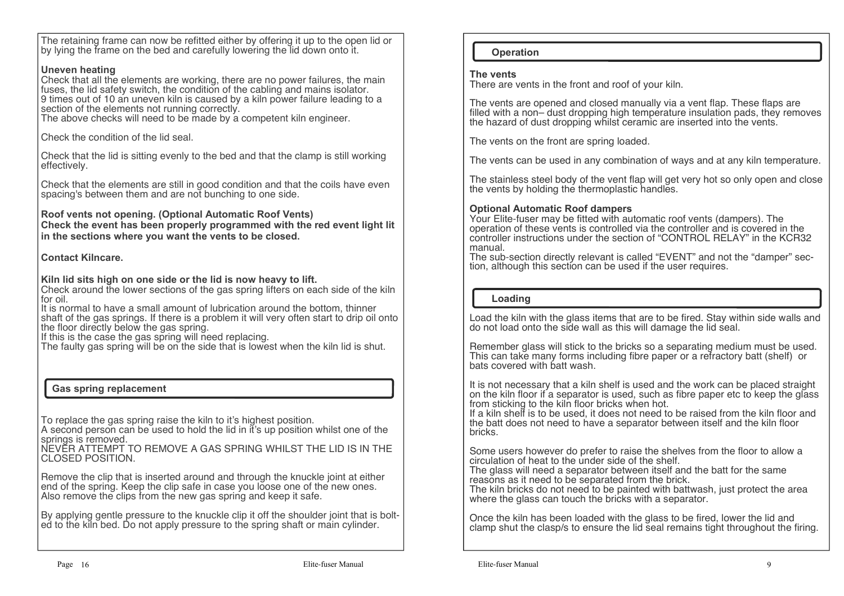The retaining frame can now be refitted either by offering it up to the open lid or by lying the frame on the bed and carefully lowering the lid down onto it.

## **Uneven heating**

 Check that all the elements are working, there are no power failures, the main fuses, the lid safety switch, the condition of the cabling and mains isolator. 9 times out of 10 an uneven kiln is caused by a kiln power failure leading to a section of the elements not running correctly.

The above checks will need to be made by a competent kiln engineer.

Check the condition of the lid seal.

Check that the lid is sitting evenly to the bed and that the clamp is still working effectively.

Check that the elements are still in good condition and that the coils have even spacing's between them and are not bunching to one side.

**Roof vents not opening. (Optional Automatic Roof Vents) Check the event has been properly programmed with the red event light lit in the sections where you want the vents to be closed.**

## **Contact Kilncare.**

**Kiln lid sits high on one side or the lid is now heavy to lift.**

 Check around the lower sections of the gas spring lifters on each side of the kiln for oil.

 It is normal to have a small amount of lubrication around the bottom, thinner shaft of the gas springs. If there is a problem it will very often start to drip oil onto the floor directly below the gas spring.

If this is the case the gas spring will need replacing.

The faulty gas spring will be on the side that is lowest when the kiln lid is shut.

## **Gas spring replacement**

To replace the gas spring raise the kiln to it's highest position.

 A second person can be used to hold the lid in it's up position whilst one of the springs is removed.<br>NEVER ATTEMPT TO REMOVE A GAS SPRING WHILST THE LID IS IN THE

CLOSED POSITION.

Remove the clip that is inserted around and through the knuckle joint at either end of the spring. Keep the clip safe in case you loose one of the new ones. Also remove the clips from the new gas spring and keep it safe.

By applying gentle pressure to the knuckle clip it off the shoulder joint that is bolted to the kiln bed. Do not apply pressure to the spring shaft or main cylinder.

## **Operation**

#### **The vents**

There are vents in the front and roof of your kiln.

The vents are opened and closed manually via a vent flap. These flaps are filled with a non– dust dropping high temperature insulation pads, they removes the hazard of dust dropping whilst ceramic are inserted into the vents.

The vents on the front are spring loaded.

The vents can be used in any combination of ways and at any kiln temperature.

The stainless steel body of the vent flap will get very hot so only open and close the vents by holding the thermoplastic handles.

## **Optional Automatic Roof dampers**

 Your Elite-fuser may be fitted with automatic roof vents (dampers). The operation of these vents is controlled via the controller and is covered in the controller instructions under the section of "CONTROL RELAY" in the KCR32 manual.

 The sub-section directly relevant is called "EVENT" and not the "damper" section, although this section can be used if the user requires.

## **Loading**

Load the kiln with the glass items that are to be fired. Stay within side walls and do not load onto the side wall as this will damage the lid seal.

Remember glass will stick to the bricks so a separating medium must be used. This can take many forms including fibre paper or a refractory batt (shelf) or bats covered with batt wash.

It is not necessary that a kiln shelf is used and the work can be placed straight on the kiln floor if a separator is used, such as fibre paper etc to keep the glass from sticking to the kiln floor bricks when hot.

 If a kiln shelf is to be used, it does not need to be raised from the kiln floor and the batt does not need to have a separator between itself and the kiln floor bricks.

Some users however do prefer to raise the shelves from the floor to allow a circulation of heat to the under side of the shelf.

 The glass will need a separator between itself and the batt for the same reasons as it need to be separated from the brick.

 The kiln bricks do not need to be painted with battwash, just protect the area where the glass can touch the bricks with a separator.

Once the kiln has been loaded with the glass to be fired, lower the lid and clamp shut the clasp/s to ensure the lid seal remains tight throughout the firing.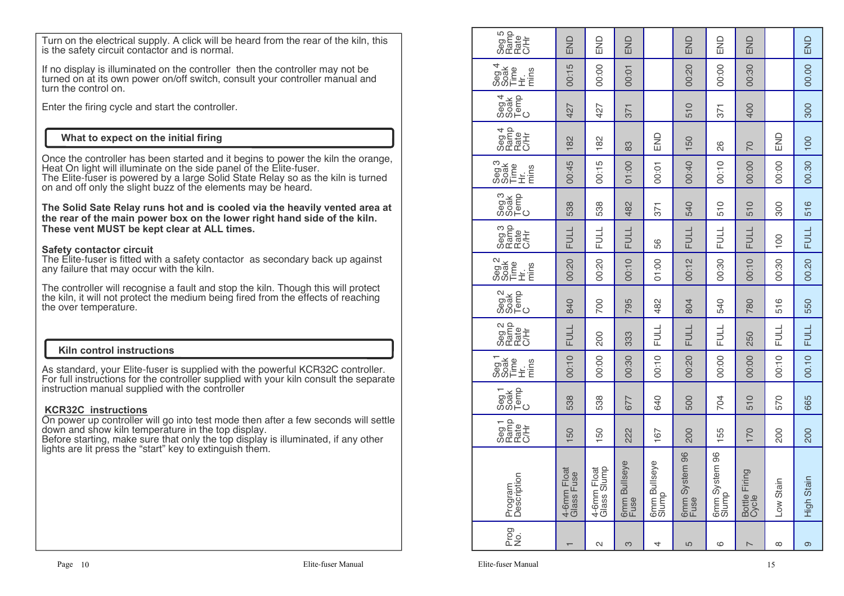Turn on the electrical supply. A click will be heard from the rear of the kiln, this is the safety circuit contactor and is normal.

If no display is illuminated on the controller then the controller may not be turned on at its own power on/off switch, consult your controller manual and turn the control on.

Enter the firing cycle and start the controller.

## **What to expect on the initial firing**

Once the controller has been started and it begins to power the kiln the orange, Heat On light will illuminate on the side panel of the Elite-fuser.

 The Elite-fuser is powered by a large Solid State Relay so as the kiln is turned on and off only the slight buzz of the elements may be heard.

**The Solid Sate Relay runs hot and is cooled via the heavily vented area at the rear of the main power box on the lower right hand side of the kiln. These vent MUST be kept clear at ALL times.**

### **Safety contactor circuit**

 The Elite-fuser is fitted with a safety contactor as secondary back up against any failure that may occur with the kiln.

The controller will recognise a fault and stop the kiln. Though this will protect the kiln, it will not protect the medium being fired from the effects of reaching the over temperature.

### **Kiln control instructions**

As standard, your Elite-fuser is supplied with the powerful KCR32C controller. For full instructions for the controller supplied with your kiln consult the separate instruction manual supplied with the controller

### **KCR32C instructions**

 On power up controller will go into test mode then after a few seconds will settle down and show kiln temperature in the top display.

 Before starting, make sure that only the top display is illuminated, if any other lights are lit press the "start" key to extinguish them.

| Seg 5<br>Ramp<br>C/Hr<br>C/Hr                                      | END                       | END                           | END                        |                            | END                            | END                    | END                                      |             | END         |
|--------------------------------------------------------------------|---------------------------|-------------------------------|----------------------------|----------------------------|--------------------------------|------------------------|------------------------------------------|-------------|-------------|
| 4<br>Seg 4<br>Soak<br>Time<br>$\pm i\frac{1}{E}$                   | 00:15                     | 00:00                         | 00:01                      |                            | 00:20                          | 00:00                  | 00:30                                    |             | 00.00       |
| $\begin{array}{c} 8.016 \\ 0.016 \\ 0.016 \\ 0.016 \\ \end{array}$ | 427                       | 427                           | 371                        |                            | 510                            | 371                    | 400                                      |             | 300         |
| Seg 4<br>Ramp<br>CAH<br>CAH                                        | 182                       | 182                           | 83                         | END                        | 50<br>$\overline{\phantom{0}}$ | 26                     | <b>DZ</b>                                | END         | 100         |
| goa<br>Boag<br>Sophic<br>Sophic<br>Eng                             | 00:45                     | 00:15                         | 01:00                      | 00:01                      | 00:40                          | 00:10                  | 00:00                                    | 00:00       | 00.30       |
| Seg3<br>Soak<br>So⊫o                                               | 538                       | 538                           | 482                        | 371                        | 540                            | 510                    | 510                                      | 300         | 516         |
| Seg 3<br>Ramp<br>C/Hr<br>C/Hr                                      | FULL                      | <b>FULL</b>                   | FULL                       | 56                         | <b>FULL</b>                    | FULL                   | <b>FULL</b>                              | 100         | <b>FULL</b> |
| Seg <sub>2</sub><br>Time<br>Hing<br>ming                           | 00:20                     | 00:20                         | 00:10                      | 01:00                      | 00:12                          | 00:30                  | 00:10                                    | 00:30       | 00.20       |
| Seg2<br>Soak<br>Demp                                               | 840                       | 700                           | 795                        | 482                        | 804                            | 540                    | 780                                      | 516         | 550         |
| Seg 2<br>Rafe<br>CA<br>CA<br>C                                     | FULL                      | 200                           | 333                        | FULL                       | <b>FULL</b>                    | <b>FULL</b>            | 250                                      | <b>FULL</b> | <b>FULL</b> |
| Seg <sub>1</sub><br>Time<br>Hing<br>ming                           | 00:10                     | 00:00                         | 00:30                      | 00:10                      | 00:20                          | 00:00                  | 00:00                                    | 00:10       | 00.10       |
| ၁၉၅ 1<br>၁၉၈<br>၁၉၉<br>၁၉၉                                         | 538                       | 538                           | 677                        | 640                        | 500                            | 704                    | 510                                      | 570         | 665         |
| Seg 1<br>Ramp<br>CAH<br>CAH                                        | 150                       | 50                            | 222                        | 167                        | 200                            | 155                    | 170                                      | 200         | 200         |
| Program<br>Description                                             | 4-6mm Float<br>Glass Fuse | ā<br>Glass Slump<br>4-6mm Flo | seye<br>6mm Bullse<br>Fuse | eye<br>6mm Bullse<br>Slump | 6mm System 96<br>Fuse          | 6mm System 96<br>Slump | $\overline{Q}$<br>Bottle Firing<br>Cycle | Low Stain   | High Stain  |
| Prog<br>No.                                                        |                           | $\mathbf{\Omega}$             | S                          | 4                          | 5                              | ပ                      | $\overline{\phantom{0}}$                 | $\infty$    | ၜ           |
|                                                                    |                           |                               |                            |                            |                                |                        |                                          |             |             |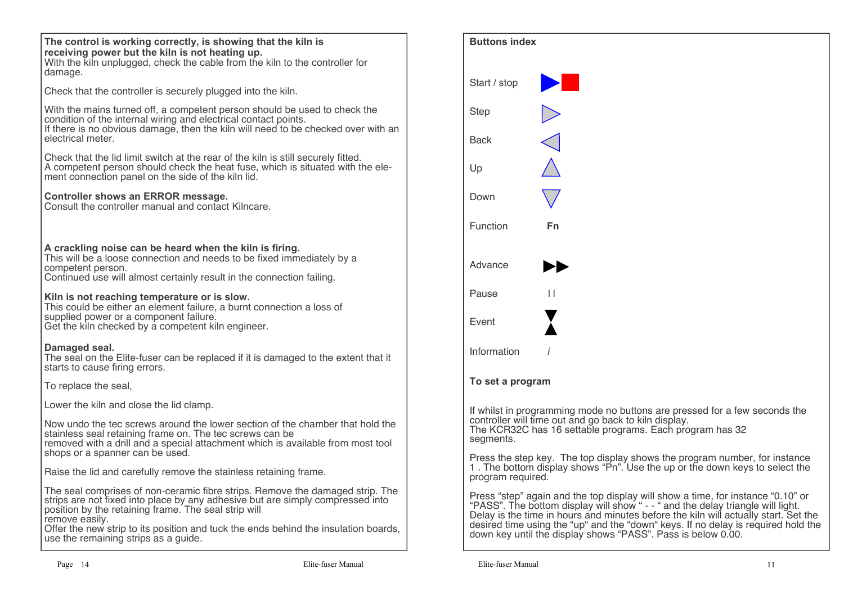| The control is working correctly, is showing that the kiln is<br>receiving power but the kiln is not heating up.<br>With the kiln unplugged, check the cable from the kiln to the controller for<br>damage.                                                     |
|-----------------------------------------------------------------------------------------------------------------------------------------------------------------------------------------------------------------------------------------------------------------|
| Check that the controller is securely plugged into the kiln.                                                                                                                                                                                                    |
| With the mains turned off, a competent person should be used to check the<br>condition of the internal wiring and electrical contact points.<br>If there is no obvious damage, then the kiln will need to be checked over with an<br>electrical meter.          |
| Check that the lid limit switch at the rear of the kiln is still securely fitted.<br>A competent person should check the heat fuse, which is situated with the ele-<br>ment connection panel on the side of the kiln lid.                                       |
| Controller shows an ERROR message.<br>Consult the controller manual and contact Kilncare.                                                                                                                                                                       |
| A crackling noise can be heard when the kiln is firing.<br>This will be a loose connection and needs to be fixed immediately by a<br>competent person.<br>Continued use will almost certainly result in the connection failing.                                 |
| Kiln is not reaching temperature or is slow.<br>This could be either an element failure, a burnt connection a loss of<br>supplied power or a component failure.<br>Get the kiln checked by a competent kiln engineer.                                           |
| Damaged seal.<br>The seal on the Elite-fuser can be replaced if it is damaged to the extent that it<br>starts to cause firing errors.                                                                                                                           |
| To replace the seal,                                                                                                                                                                                                                                            |
| Lower the kiln and close the lid clamp.                                                                                                                                                                                                                         |
| Now undo the tec screws around the lower section of the chamber that hold the<br>stainless seal retaining frame on. The tec screws can be<br>removed with a drill and a special attachment which is available from most tool<br>shops or a spanner can be used. |
| Raise the lid and carefully remove the stainless retaining frame.                                                                                                                                                                                               |
| The seal comprises of non-ceramic fibre strips. Remove the damaged strip. The<br>strips are not fixed into place by any adhesive but are simply compressed into<br>position by the retaining frame. The seal strip will<br>remove easily.                       |

remove easily. Offer the new strip to its position and tuck the ends behind the insulation boards, use the remaining strips as a guide.

| <b>Buttons index</b> |                                                                                                                                                                                                                                                                                                                                                                                                          |
|----------------------|----------------------------------------------------------------------------------------------------------------------------------------------------------------------------------------------------------------------------------------------------------------------------------------------------------------------------------------------------------------------------------------------------------|
| Start / stop         |                                                                                                                                                                                                                                                                                                                                                                                                          |
| <b>Step</b>          |                                                                                                                                                                                                                                                                                                                                                                                                          |
| Back                 |                                                                                                                                                                                                                                                                                                                                                                                                          |
| Up                   |                                                                                                                                                                                                                                                                                                                                                                                                          |
| Down                 |                                                                                                                                                                                                                                                                                                                                                                                                          |
| Function             | Fn                                                                                                                                                                                                                                                                                                                                                                                                       |
| Advance              |                                                                                                                                                                                                                                                                                                                                                                                                          |
| Pause                | $\perp$                                                                                                                                                                                                                                                                                                                                                                                                  |
| Event                |                                                                                                                                                                                                                                                                                                                                                                                                          |
| Information          | i                                                                                                                                                                                                                                                                                                                                                                                                        |
| To set a program     |                                                                                                                                                                                                                                                                                                                                                                                                          |
| segments.            | If whilst in programming mode no buttons are pressed for a few seconds the<br>controller will time out and go back to kiln display.<br>The KCR32C has 16 settable programs. Each program has 32                                                                                                                                                                                                          |
| program required.    | Press the step key. The top display shows the program number, for instance 1. The bottom display shows "Pn". Use the up or the down keys to select the                                                                                                                                                                                                                                                   |
|                      | Press "step" again and the top display will show a time, for instance "0.10" or "PASS". The bottom display will show " - - " and the delay triangle will light.<br>Delay is the time in hours and minutes before the kiln will actually start. Set the<br>desired time using the "up" and the "down" keys. If no delay is required hold the down key until the display shows "PASS". Pass is below 0.00. |